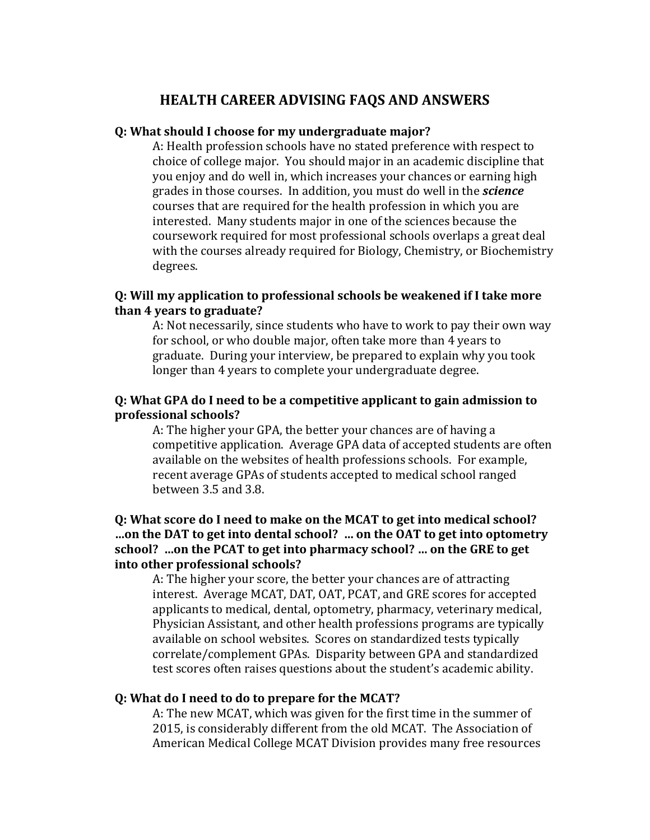# **HEALTH CAREER ADVISING FAQS AND ANSWERS**

#### **Q: What should I choose for my undergraduate major?**

A: Health profession schools have no stated preference with respect to choice of college major. You should major in an academic discipline that you enjoy and do well in, which increases your chances or earning high grades in those courses. In addition, you must do well in the *science* courses that are required for the health profession in which you are interested. Many students major in one of the sciences because the coursework required for most professional schools overlaps a great deal with the courses already required for Biology, Chemistry, or Biochemistry degrees.

### **Q: Will my application to professional schools be weakened if I take more than 4 years to graduate?**

A: Not necessarily, since students who have to work to pay their own way for school, or who double major, often take more than 4 years to graduate. During your interview, be prepared to explain why you took longer than 4 years to complete your undergraduate degree.

### **Q: What GPA do I need to be a competitive applicant to gain admission to professional schools?**

A: The higher your GPA, the better your chances are of having a competitive application. Average GPA data of accepted students are often available on the websites of health professions schools. For example, recent average GPAs of students accepted to medical school ranged between 3.5 and 3.8.

# **Q: What score do I need to make on the MCAT to get into medical school? …on the DAT to get into dental school? … on the OAT to get into optometry school? …on the PCAT to get into pharmacy school? … on the GRE to get into other professional schools?**

A: The higher your score, the better your chances are of attracting interest. Average MCAT, DAT, OAT, PCAT, and GRE scores for accepted applicants to medical, dental, optometry, pharmacy, veterinary medical, Physician Assistant, and other health professions programs are typically available on school websites. Scores on standardized tests typically correlate/complement GPAs. Disparity between GPA and standardized test scores often raises questions about the student's academic ability.

### **Q: What do I need to do to prepare for the MCAT?**

A: The new MCAT, which was given for the first time in the summer of 2015, is considerably different from the old MCAT. The Association of American Medical College MCAT Division provides many free resources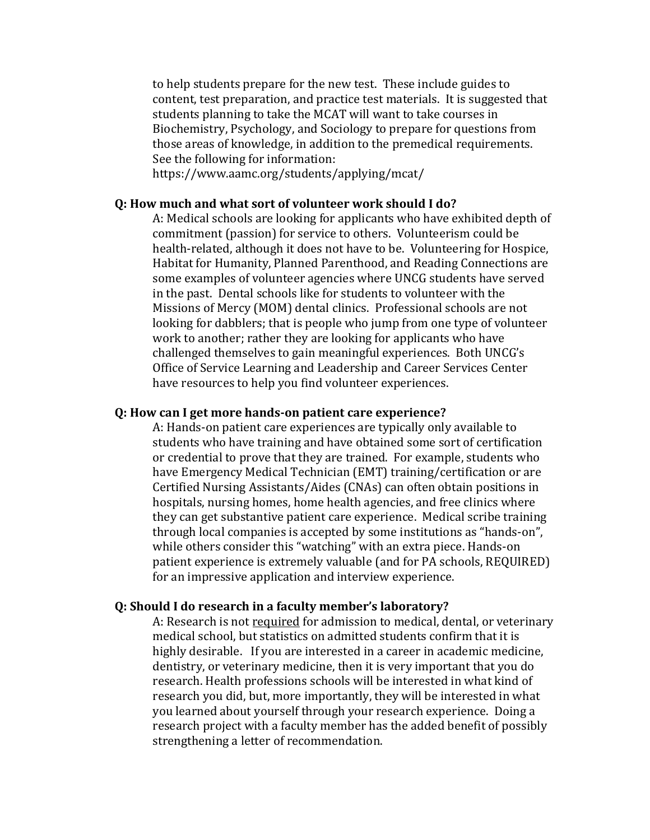to help students prepare for the new test. These include guides to content, test preparation, and practice test materials. It is suggested that students planning to take the MCAT will want to take courses in Biochemistry, Psychology, and Sociology to prepare for questions from those areas of knowledge, in addition to the premedical requirements. See the following for information:

https://www.aamc.org/students/applying/mcat/

#### **Q: How much and what sort of volunteer work should I do?**

A: Medical schools are looking for applicants who have exhibited depth of commitment (passion) for service to others. Volunteerism could be health-related, although it does not have to be. Volunteering for Hospice, Habitat for Humanity, Planned Parenthood, and Reading Connections are some examples of volunteer agencies where UNCG students have served in the past. Dental schools like for students to volunteer with the Missions of Mercy (MOM) dental clinics. Professional schools are not looking for dabblers; that is people who jump from one type of volunteer work to another; rather they are looking for applicants who have challenged themselves to gain meaningful experiences. Both UNCG's Office of Service Learning and Leadership and Career Services Center have resources to help you find volunteer experiences.

#### **Q: How can I get more hands-on patient care experience?**

A: Hands-on patient care experiences are typically only available to students who have training and have obtained some sort of certification or credential to prove that they are trained. For example, students who have Emergency Medical Technician (EMT) training/certification or are Certified Nursing Assistants/Aides (CNAs) can often obtain positions in hospitals, nursing homes, home health agencies, and free clinics where they can get substantive patient care experience. Medical scribe training through local companies is accepted by some institutions as "hands-on", while others consider this "watching" with an extra piece. Hands-on patient experience is extremely valuable (and for PA schools, REQUIRED) for an impressive application and interview experience.

### **Q: Should I do research in a faculty member's laboratory?**

A: Research is not required for admission to medical, dental, or veterinary medical school, but statistics on admitted students confirm that it is highly desirable. If you are interested in a career in academic medicine, dentistry, or veterinary medicine, then it is very important that you do research. Health professions schools will be interested in what kind of research you did, but, more importantly, they will be interested in what you learned about yourself through your research experience. Doing a research project with a faculty member has the added benefit of possibly strengthening a letter of recommendation.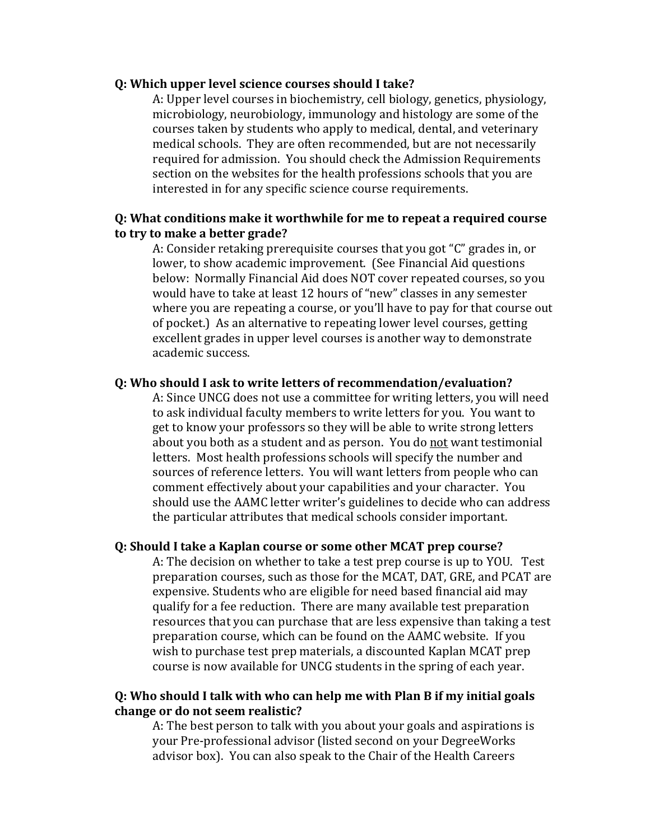#### **Q: Which upper level science courses should I take?**

A: Upper level courses in biochemistry, cell biology, genetics, physiology, microbiology, neurobiology, immunology and histology are some of the courses taken by students who apply to medical, dental, and veterinary medical schools. They are often recommended, but are not necessarily required for admission. You should check the Admission Requirements section on the websites for the health professions schools that you are interested in for any specific science course requirements.

### **Q: What conditions make it worthwhile for me to repeat a required course to try to make a better grade?**

A: Consider retaking prerequisite courses that you got "C" grades in, or lower, to show academic improvement. (See Financial Aid questions below: Normally Financial Aid does NOT cover repeated courses, so you would have to take at least 12 hours of "new" classes in any semester where you are repeating a course, or you'll have to pay for that course out of pocket.) As an alternative to repeating lower level courses, getting excellent grades in upper level courses is another way to demonstrate academic success.

#### **Q: Who should I ask to write letters of recommendation/evaluation?**

A: Since UNCG does not use a committee for writing letters, you will need to ask individual faculty members to write letters for you. You want to get to know your professors so they will be able to write strong letters about you both as a student and as person. You do not want testimonial letters. Most health professions schools will specify the number and sources of reference letters. You will want letters from people who can comment effectively about your capabilities and your character. You should use the AAMC letter writer's guidelines to decide who can address the particular attributes that medical schools consider important.

#### **Q: Should I take a Kaplan course or some other MCAT prep course?**

A: The decision on whether to take a test prep course is up to YOU. Test preparation courses, such as those for the MCAT, DAT, GRE, and PCAT are expensive. Students who are eligible for need based financial aid may qualify for a fee reduction. There are many available test preparation resources that you can purchase that are less expensive than taking a test preparation course, which can be found on the AAMC website. If you wish to purchase test prep materials, a discounted Kaplan MCAT prep course is now available for UNCG students in the spring of each year.

# **Q: Who should I talk with who can help me with Plan B if my initial goals change or do not seem realistic?**

A: The best person to talk with you about your goals and aspirations is your Pre-professional advisor (listed second on your DegreeWorks advisor box). You can also speak to the Chair of the Health Careers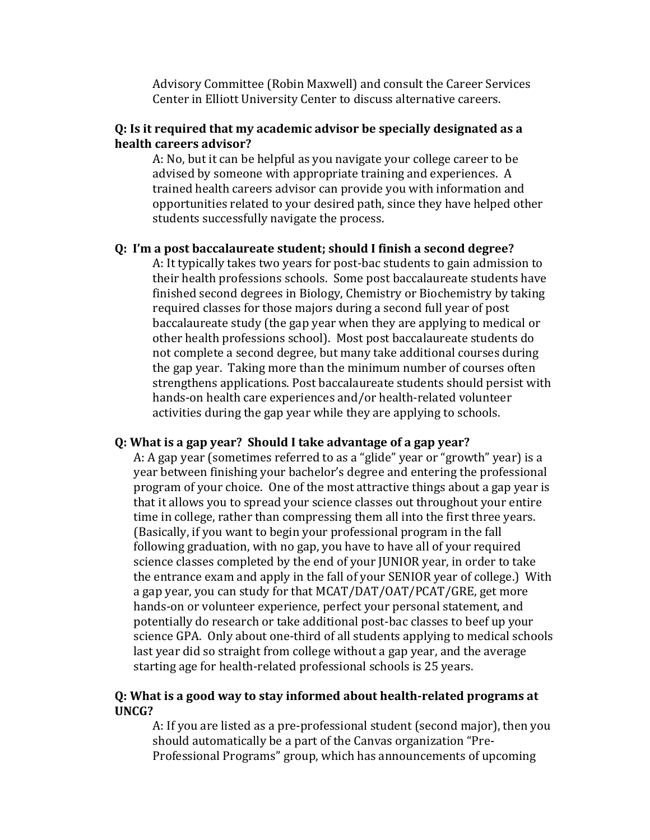Advisory Committee (Robin Maxwell) and consult the Career Services Center in Elliott University Center to discuss alternative careers.

### **Q: Is it required that my academic advisor be specially designated as a health careers advisor?**

A: No, but it can be helpful as you navigate your college career to be advised by someone with appropriate training and experiences. A trained health careers advisor can provide you with information and opportunities related to your desired path, since they have helped other students successfully navigate the process.

### **Q: I'm a post baccalaureate student; should I finish a second degree?**

A: It typically takes two years for post-bac students to gain admission to their health professions schools. Some post baccalaureate students have finished second degrees in Biology, Chemistry or Biochemistry by taking required classes for those majors during a second full year of post baccalaureate study (the gap year when they are applying to medical or other health professions school). Most post baccalaureate students do not complete a second degree, but many take additional courses during the gap year. Taking more than the minimum number of courses often strengthens applications. Post baccalaureate students should persist with hands-on health care experiences and/or health-related volunteer activities during the gap year while they are applying to schools.

#### **Q: What is a gap year? Should I take advantage of a gap year?**

A: A gap year (sometimes referred to as a "glide" year or "growth" year) is a year between finishing your bachelor's degree and entering the professional program of your choice. One of the most attractive things about a gap year is that it allows you to spread your science classes out throughout your entire time in college, rather than compressing them all into the first three years. (Basically, if you want to begin your professional program in the fall following graduation, with no gap, you have to have all of your required science classes completed by the end of your JUNIOR year, in order to take the entrance exam and apply in the fall of your SENIOR year of college.) With a gap year, you can study for that MCAT/DAT/OAT/PCAT/GRE, get more hands-on or volunteer experience, perfect your personal statement, and potentially do research or take additional post-bac classes to beef up your science GPA. Only about one-third of all students applying to medical schools last year did so straight from college without a gap year, and the average starting age for health-related professional schools is 25 years.

## **Q: What is a good way to stay informed about health-related programs at UNCG?**

A: If you are listed as a pre-professional student (second major), then you should automatically be a part of the Canvas organization "Pre-Professional Programs" group, which has announcements of upcoming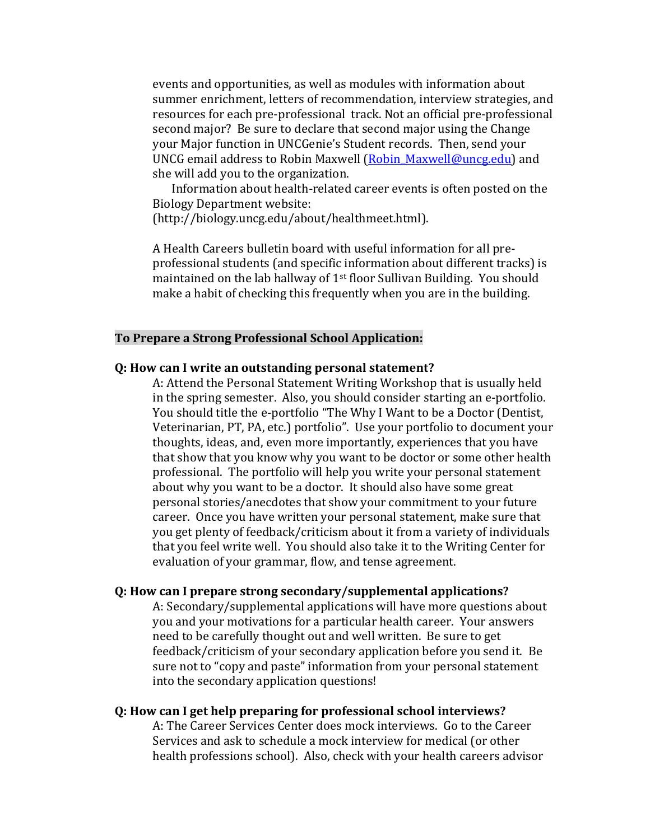events and opportunities, as well as modules with information about summer enrichment, letters of recommendation, interview strategies, and resources for each pre-professional track. Not an official pre-professional second major? Be sure to declare that second major using the Change your Major function in UNCGenie's Student records. Then, send your UNCG email address to Robin Maxwell [\(Robin\\_Maxwell@uncg.edu\)](mailto:Robin_Maxwell@uncg.edu) and she will add you to the organization.

Information about health-related career events is often posted on the Biology Department website:

(http://biology.uncg.edu/about/healthmeet.html).

A Health Careers bulletin board with useful information for all preprofessional students (and specific information about different tracks) is maintained on the lab hallway of 1st floor Sullivan Building. You should make a habit of checking this frequently when you are in the building.

#### **To Prepare a Strong Professional School Application:**

### **Q: How can I write an outstanding personal statement?**

A: Attend the Personal Statement Writing Workshop that is usually held in the spring semester. Also, you should consider starting an e-portfolio. You should title the e-portfolio "The Why I Want to be a Doctor (Dentist, Veterinarian, PT, PA, etc.) portfolio". Use your portfolio to document your thoughts, ideas, and, even more importantly, experiences that you have that show that you know why you want to be doctor or some other health professional. The portfolio will help you write your personal statement about why you want to be a doctor. It should also have some great personal stories/anecdotes that show your commitment to your future career. Once you have written your personal statement, make sure that you get plenty of feedback/criticism about it from a variety of individuals that you feel write well. You should also take it to the Writing Center for evaluation of your grammar, flow, and tense agreement.

#### **Q: How can I prepare strong secondary/supplemental applications?**

A: Secondary/supplemental applications will have more questions about you and your motivations for a particular health career. Your answers need to be carefully thought out and well written. Be sure to get feedback/criticism of your secondary application before you send it. Be sure not to "copy and paste" information from your personal statement into the secondary application questions!

#### **Q: How can I get help preparing for professional school interviews?**

A: The Career Services Center does mock interviews. Go to the Career Services and ask to schedule a mock interview for medical (or other health professions school). Also, check with your health careers advisor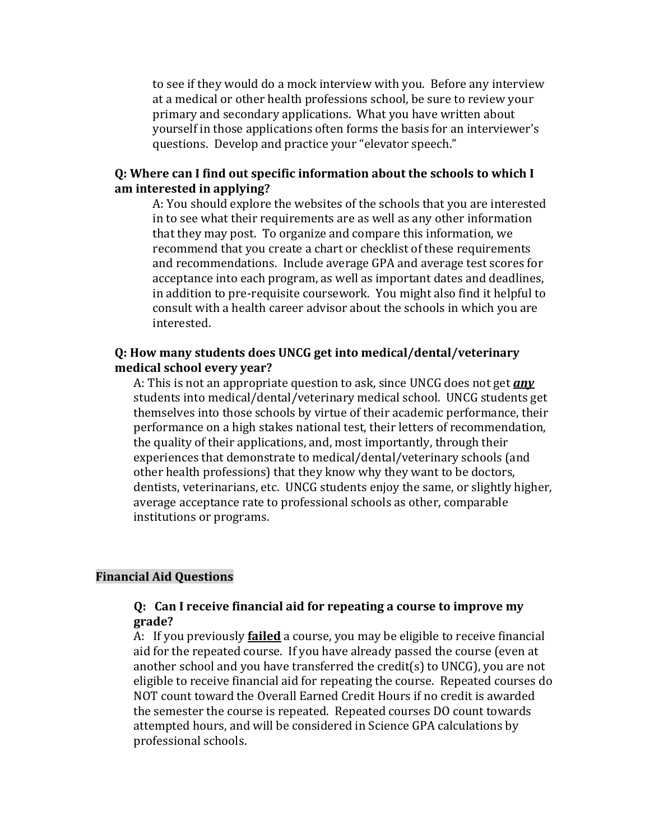to see if they would do a mock interview with you. Before any interview at a medical or other health professions school, be sure to review your primary and secondary applications. What you have written about yourself in those applications often forms the basis for an interviewer's questions. Develop and practice your "elevator speech."

### **Q: Where can I find out specific information about the schools to which I am interested in applying?**

A: You should explore the websites of the schools that you are interested in to see what their requirements are as well as any other information that they may post. To organize and compare this information, we recommend that you create a chart or checklist of these requirements and recommendations. Include average GPA and average test scores for acceptance into each program, as well as important dates and deadlines, in addition to pre-requisite coursework. You might also find it helpful to consult with a health career advisor about the schools in which you are interested.

### **Q: How many students does UNCG get into medical/dental/veterinary medical school every year?**

A: This is not an appropriate question to ask, since UNCG does not get *any* students into medical/dental/veterinary medical school. UNCG students get themselves into those schools by virtue of their academic performance, their performance on a high stakes national test, their letters of recommendation, the quality of their applications, and, most importantly, through their experiences that demonstrate to medical/dental/veterinary schools (and other health professions) that they know why they want to be doctors, dentists, veterinarians, etc. UNCG students enjoy the same, or slightly higher, average acceptance rate to professional schools as other, comparable institutions or programs.

#### **Financial Aid Questions**

### **Q: Can I receive financial aid for repeating a course to improve my grade?**

A: If you previously **failed** a course, you may be eligible to receive financial aid for the repeated course. If you have already passed the course (even at another school and you have transferred the credit(s) to UNCG), you are not eligible to receive financial aid for repeating the course. Repeated courses do NOT count toward the Overall Earned Credit Hours if no credit is awarded the semester the course is repeated. Repeated courses DO count towards attempted hours, and will be considered in Science GPA calculations by professional schools.